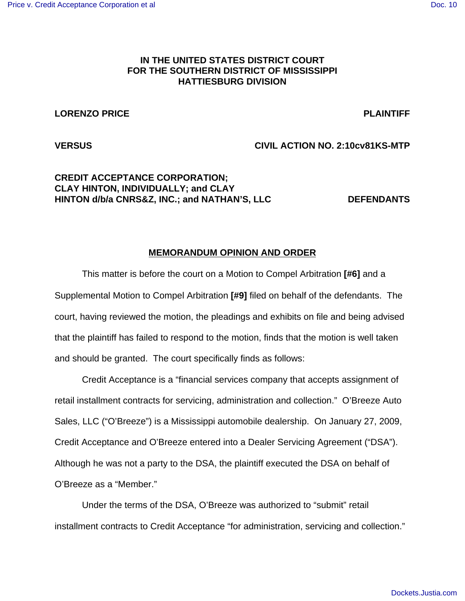# **IN THE UNITED STATES DISTRICT COURT FOR THE SOUTHERN DISTRICT OF MISSISSIPPI HATTIESBURG DIVISION**

### **LORENZO PRICE PLAINTIFF**

**VERSUS CIVIL ACTION NO. 2:10cv81KS-MTP**

# **CREDIT ACCEPTANCE CORPORATION; CLAY HINTON, INDIVIDUALLY; and CLAY HINTON d/b/a CNRS&Z, INC.; and NATHAN'S, LLC DEFENDANTS**

# **MEMORANDUM OPINION AND ORDER**

This matter is before the court on a Motion to Compel Arbitration **[#6]** and a Supplemental Motion to Compel Arbitration **[#9]** filed on behalf of the defendants. The court, having reviewed the motion, the pleadings and exhibits on file and being advised that the plaintiff has failed to respond to the motion, finds that the motion is well taken and should be granted. The court specifically finds as follows:

Credit Acceptance is a "financial services company that accepts assignment of retail installment contracts for servicing, administration and collection." O'Breeze Auto Sales, LLC ("O'Breeze") is a Mississippi automobile dealership. On January 27, 2009, Credit Acceptance and O'Breeze entered into a Dealer Servicing Agreement ("DSA"). Although he was not a party to the DSA, the plaintiff executed the DSA on behalf of O'Breeze as a "Member."

Under the terms of the DSA, O'Breeze was authorized to "submit" retail installment contracts to Credit Acceptance "for administration, servicing and collection."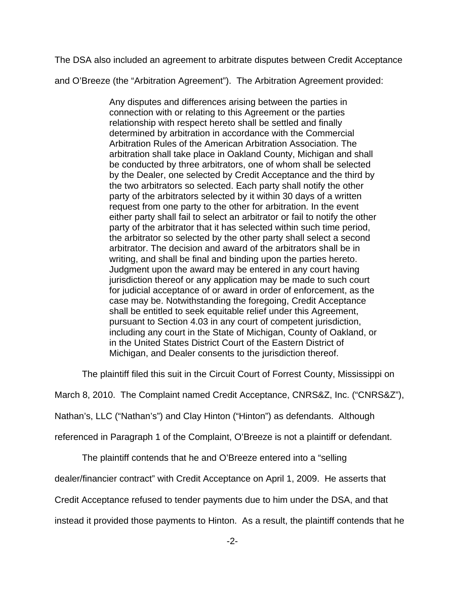The DSA also included an agreement to arbitrate disputes between Credit Acceptance

and O'Breeze (the "Arbitration Agreement"). The Arbitration Agreement provided:

Any disputes and differences arising between the parties in connection with or relating to this Agreement or the parties relationship with respect hereto shall be settled and finally determined by arbitration in accordance with the Commercial Arbitration Rules of the American Arbitration Association. The arbitration shall take place in Oakland County, Michigan and shall be conducted by three arbitrators, one of whom shall be selected by the Dealer, one selected by Credit Acceptance and the third by the two arbitrators so selected. Each party shall notify the other party of the arbitrators selected by it within 30 days of a written request from one party to the other for arbitration. In the event either party shall fail to select an arbitrator or fail to notify the other party of the arbitrator that it has selected within such time period, the arbitrator so selected by the other party shall select a second arbitrator. The decision and award of the arbitrators shall be in writing, and shall be final and binding upon the parties hereto. Judgment upon the award may be entered in any court having jurisdiction thereof or any application may be made to such court for judicial acceptance of or award in order of enforcement, as the case may be. Notwithstanding the foregoing, Credit Acceptance shall be entitled to seek equitable relief under this Agreement, pursuant to Section 4.03 in any court of competent jurisdiction, including any court in the State of Michigan, County of Oakland, or in the United States District Court of the Eastern District of Michigan, and Dealer consents to the jurisdiction thereof.

The plaintiff filed this suit in the Circuit Court of Forrest County, Mississippi on

March 8, 2010. The Complaint named Credit Acceptance, CNRS&Z, Inc. ("CNRS&Z"),

Nathan's, LLC ("Nathan's") and Clay Hinton ("Hinton") as defendants. Although

referenced in Paragraph 1 of the Complaint, O'Breeze is not a plaintiff or defendant.

The plaintiff contends that he and O'Breeze entered into a "selling

dealer/financier contract" with Credit Acceptance on April 1, 2009. He asserts that

Credit Acceptance refused to tender payments due to him under the DSA, and that

instead it provided those payments to Hinton. As a result, the plaintiff contends that he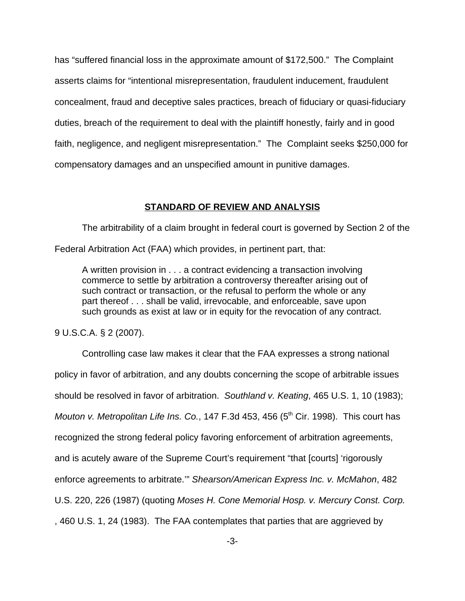has "suffered financial loss in the approximate amount of \$172,500." The Complaint asserts claims for "intentional misrepresentation, fraudulent inducement, fraudulent concealment, fraud and deceptive sales practices, breach of fiduciary or quasi-fiduciary duties, breach of the requirement to deal with the plaintiff honestly, fairly and in good faith, negligence, and negligent misrepresentation." The Complaint seeks \$250,000 for compensatory damages and an unspecified amount in punitive damages.

### **STANDARD OF REVIEW AND ANALYSIS**

The arbitrability of a claim brought in federal court is governed by Section 2 of the

Federal Arbitration Act (FAA) which provides, in pertinent part, that:

A written provision in . . . a contract evidencing a transaction involving commerce to settle by arbitration a controversy thereafter arising out of such contract or transaction, or the refusal to perform the whole or any part thereof . . . shall be valid, irrevocable, and enforceable, save upon such grounds as exist at law or in equity for the revocation of any contract.

9 U.S.C.A. § 2 (2007).

Controlling case law makes it clear that the FAA expresses a strong national policy in favor of arbitration, and any doubts concerning the scope of arbitrable issues should be resolved in favor of arbitration. *Southland v. Keating*, 465 U.S. 1, 10 (1983); *Mouton v. Metropolitan Life Ins. Co.*, 147 F.3d 453, 456 (5<sup>th</sup> Cir. 1998). This court has recognized the strong federal policy favoring enforcement of arbitration agreements, and is acutely aware of the Supreme Court's requirement "that [courts] 'rigorously enforce agreements to arbitrate.'" *Shearson/American Express Inc. v. McMahon*, 482 U.S. 220, 226 (1987) (quoting *Moses H. Cone Memorial Hosp. v. Mercury Const. Corp.* , 460 U.S. 1, 24 (1983). The FAA contemplates that parties that are aggrieved by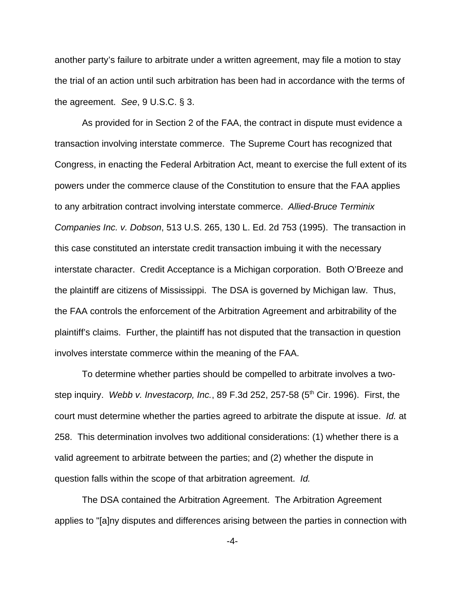another party's failure to arbitrate under a written agreement, may file a motion to stay the trial of an action until such arbitration has been had in accordance with the terms of the agreement. *See*, 9 U.S.C. § 3.

As provided for in Section 2 of the FAA, the contract in dispute must evidence a transaction involving interstate commerce. The Supreme Court has recognized that Congress, in enacting the Federal Arbitration Act, meant to exercise the full extent of its powers under the commerce clause of the Constitution to ensure that the FAA applies to any arbitration contract involving interstate commerce. *Allied-Bruce Terminix Companies Inc. v. Dobson*, 513 U.S. 265, 130 L. Ed. 2d 753 (1995). The transaction in this case constituted an interstate credit transaction imbuing it with the necessary interstate character. Credit Acceptance is a Michigan corporation. Both O'Breeze and the plaintiff are citizens of Mississippi. The DSA is governed by Michigan law. Thus, the FAA controls the enforcement of the Arbitration Agreement and arbitrability of the plaintiff's claims. Further, the plaintiff has not disputed that the transaction in question involves interstate commerce within the meaning of the FAA.

To determine whether parties should be compelled to arbitrate involves a twostep inquiry. *Webb v. Investacorp, Inc.*, 89 F.3d 252, 257-58 (5<sup>th</sup> Cir. 1996). First, the court must determine whether the parties agreed to arbitrate the dispute at issue. *Id.* at 258. This determination involves two additional considerations: (1) whether there is a valid agreement to arbitrate between the parties; and (2) whether the dispute in question falls within the scope of that arbitration agreement. *Id.*

The DSA contained the Arbitration Agreement. The Arbitration Agreement applies to "[a]ny disputes and differences arising between the parties in connection with

-4-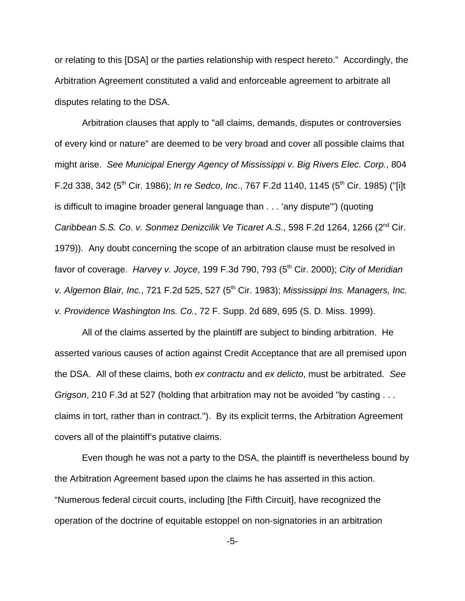or relating to this [DSA] or the parties relationship with respect hereto." Accordingly, the Arbitration Agreement constituted a valid and enforceable agreement to arbitrate all disputes relating to the DSA.

Arbitration clauses that apply to "all claims, demands, disputes or controversies of every kind or nature" are deemed to be very broad and cover all possible claims that might arise. *See Municipal Energy Agency of Mississippi v. Big Rivers Elec. Corp.*, 804 F.2d 338, 342 (5<sup>th</sup> Cir. 1986); *In re Sedco, Inc.*, 767 F.2d 1140, 1145 (5<sup>th</sup> Cir. 1985) ("[i]t is difficult to imagine broader general language than . . . 'any dispute'") (quoting *Caribbean S.S. Co. v. Sonmez Denizcilik Ve Ticaret A.S.*, 598 F.2d 1264, 1266 (2nd Cir. 1979)). Any doubt concerning the scope of an arbitration clause must be resolved in favor of coverage. *Harvey v. Joyce*, 199 F.3d 790, 793 (5<sup>th</sup> Cir. 2000); *City of Meridian v. Algernon Blair, Inc.*, 721 F.2d 525, 527 (5th Cir. 1983); *Mississippi Ins. Managers, Inc. v. Providence Washington Ins. Co.*, 72 F. Supp. 2d 689, 695 (S. D. Miss. 1999).

All of the claims asserted by the plaintiff are subject to binding arbitration. He asserted various causes of action against Credit Acceptance that are all premised upon the DSA. All of these claims, both *ex contractu* and *ex delicto*, must be arbitrated. *See Grigson*, 210 F.3d at 527 (holding that arbitration may not be avoided "by casting . . . claims in tort, rather than in contract."). By its explicit terms, the Arbitration Agreement covers all of the plaintiff's putative claims.

Even though he was not a party to the DSA, the plaintiff is nevertheless bound by the Arbitration Agreement based upon the claims he has asserted in this action. "Numerous federal circuit courts, including [the Fifth Circuit], have recognized the operation of the doctrine of equitable estoppel on non-signatories in an arbitration

-5-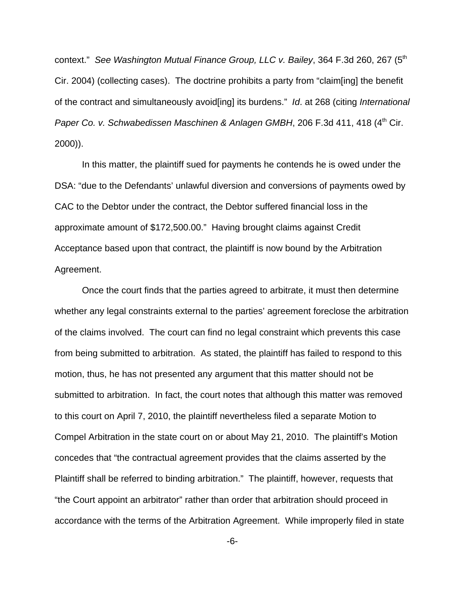context." *See Washington Mutual Finance Group, LLC v. Bailey*, 364 F.3d 260, 267 (5th Cir. 2004) (collecting cases). The doctrine prohibits a party from "claim[ing] the benefit of the contract and simultaneously avoid[ing] its burdens." *Id*. at 268 (citing *International Paper Co. v. Schwabedissen Maschinen & Anlagen GMBH, 206 F.3d 411, 418 (4<sup>th</sup> Cir.* 2000)).

In this matter, the plaintiff sued for payments he contends he is owed under the DSA: "due to the Defendants' unlawful diversion and conversions of payments owed by CAC to the Debtor under the contract, the Debtor suffered financial loss in the approximate amount of \$172,500.00." Having brought claims against Credit Acceptance based upon that contract, the plaintiff is now bound by the Arbitration Agreement.

Once the court finds that the parties agreed to arbitrate, it must then determine whether any legal constraints external to the parties' agreement foreclose the arbitration of the claims involved. The court can find no legal constraint which prevents this case from being submitted to arbitration. As stated, the plaintiff has failed to respond to this motion, thus, he has not presented any argument that this matter should not be submitted to arbitration. In fact, the court notes that although this matter was removed to this court on April 7, 2010, the plaintiff nevertheless filed a separate Motion to Compel Arbitration in the state court on or about May 21, 2010. The plaintiff's Motion concedes that "the contractual agreement provides that the claims asserted by the Plaintiff shall be referred to binding arbitration." The plaintiff, however, requests that "the Court appoint an arbitrator" rather than order that arbitration should proceed in accordance with the terms of the Arbitration Agreement. While improperly filed in state

-6-